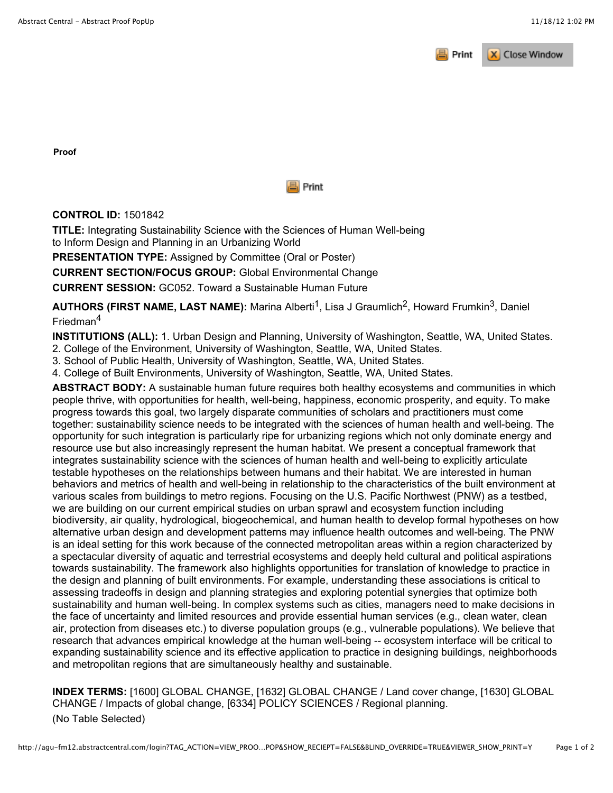

**Proof**



## **CONTROL ID:** 1501842

**TITLE:** Integrating Sustainability Science with the Sciences of Human Well-being to Inform Design and Planning in an Urbanizing World

**PRESENTATION TYPE:** Assigned by Committee (Oral or Poster)

**CURRENT SECTION/FOCUS GROUP:** Global Environmental Change

**CURRENT SESSION:** GC052. Toward a Sustainable Human Future

**AUTHORS (FIRST NAME, LAST NAME):** Marina Alberti<sup>1</sup>, Lisa J Graumlich<sup>2</sup>, Howard Frumkin<sup>3</sup>, Daniel Friedman<sup>4</sup>

**INSTITUTIONS (ALL):** 1. Urban Design and Planning, University of Washington, Seattle, WA, United States.

2. College of the Environment, University of Washington, Seattle, WA, United States.

3. School of Public Health, University of Washington, Seattle, WA, United States.

4. College of Built Environments, University of Washington, Seattle, WA, United States.

**ABSTRACT BODY:** A sustainable human future requires both healthy ecosystems and communities in which people thrive, with opportunities for health, well-being, happiness, economic prosperity, and equity. To make progress towards this goal, two largely disparate communities of scholars and practitioners must come together: sustainability science needs to be integrated with the sciences of human health and well-being. The opportunity for such integration is particularly ripe for urbanizing regions which not only dominate energy and resource use but also increasingly represent the human habitat. We present a conceptual framework that integrates sustainability science with the sciences of human health and well-being to explicitly articulate testable hypotheses on the relationships between humans and their habitat. We are interested in human behaviors and metrics of health and well-being in relationship to the characteristics of the built environment at various scales from buildings to metro regions. Focusing on the U.S. Pacific Northwest (PNW) as a testbed, we are building on our current empirical studies on urban sprawl and ecosystem function including biodiversity, air quality, hydrological, biogeochemical, and human health to develop formal hypotheses on how alternative urban design and development patterns may influence health outcomes and well-being. The PNW is an ideal setting for this work because of the connected metropolitan areas within a region characterized by a spectacular diversity of aquatic and terrestrial ecosystems and deeply held cultural and political aspirations towards sustainability. The framework also highlights opportunities for translation of knowledge to practice in the design and planning of built environments. For example, understanding these associations is critical to assessing tradeoffs in design and planning strategies and exploring potential synergies that optimize both sustainability and human well-being. In complex systems such as cities, managers need to make decisions in the face of uncertainty and limited resources and provide essential human services (e.g., clean water, clean air, protection from diseases etc.) to diverse population groups (e.g., vulnerable populations). We believe that research that advances empirical knowledge at the human well-being -- ecosystem interface will be critical to expanding sustainability science and its effective application to practice in designing buildings, neighborhoods and metropolitan regions that are simultaneously healthy and sustainable.

**INDEX TERMS:** [1600] GLOBAL CHANGE, [1632] GLOBAL CHANGE / Land cover change, [1630] GLOBAL CHANGE / Impacts of global change, [6334] POLICY SCIENCES / Regional planning. (No Table Selected)